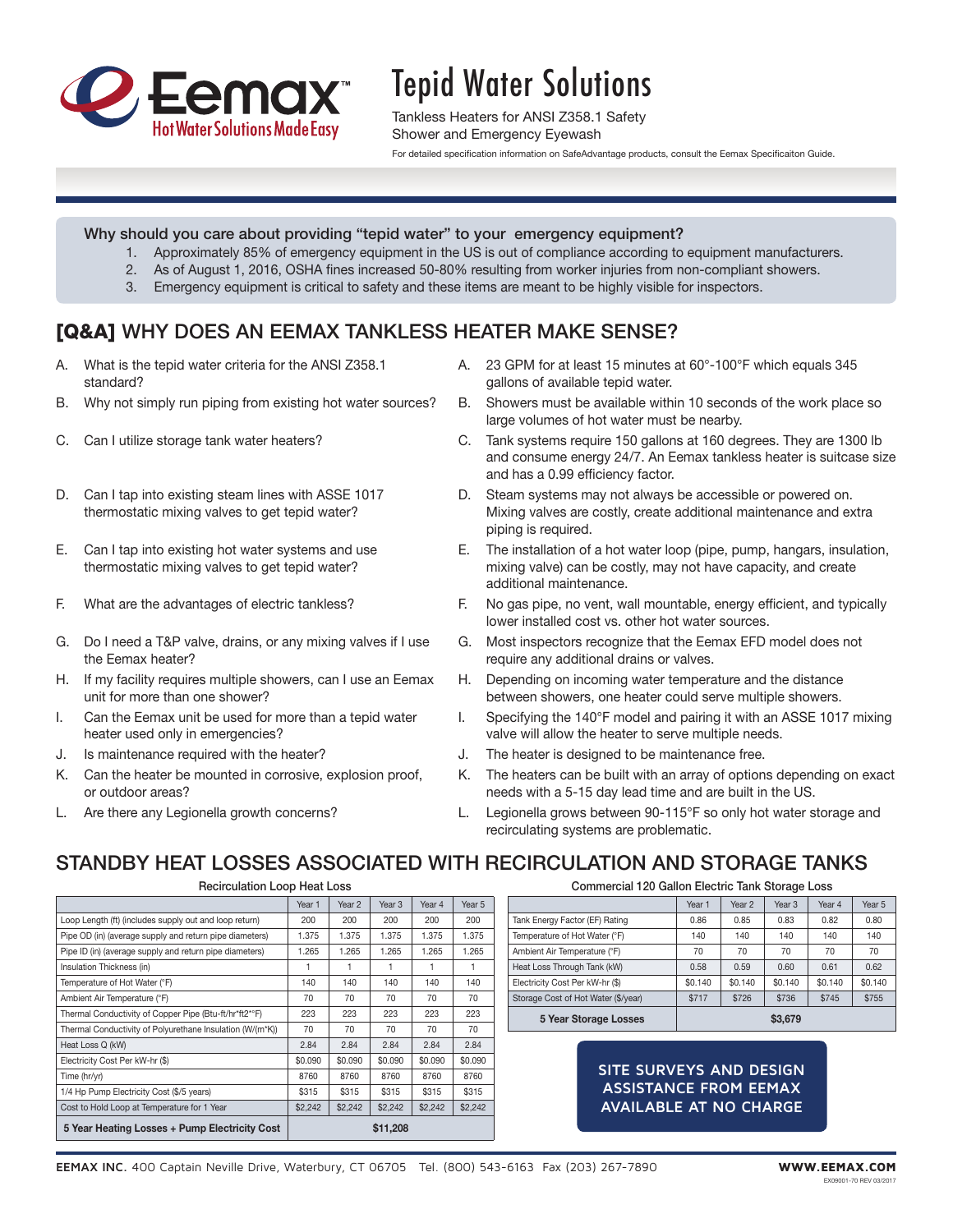

# Tepid Water Solutions

Tankless Heaters for ANSI Z358.1 Safety Shower and Emergency Eyewash

For detailed specification information on SafeAdvantage products, consult the Eemax Specificaiton Guide.

### Why should you care about providing "tepid water" to your emergency equipment?

- 1. Approximately 85% of emergency equipment in the US is out of compliance according to equipment manufacturers.
- 2. As of August 1, 2016, OSHA fines increased 50-80% resulting from worker injuries from non-compliant showers.
- 3. Emergency equipment is critical to safety and these items are meant to be highly visible for inspectors.

## [Q&A] WHY DOES AN EEMAX TANKLESS HEATER MAKE SENSE?

- A. What is the tepid water criteria for the ANSI Z358.1 standard?
- B. Why not simply run piping from existing hot water sources?
- C. Can I utilize storage tank water heaters?
- D. Can I tap into existing steam lines with ASSE 1017 thermostatic mixing valves to get tepid water?
- E. Can I tap into existing hot water systems and use thermostatic mixing valves to get tepid water?
- F. What are the advantages of electric tankless?
- G. Do I need a T&P valve, drains, or any mixing valves if I use the Eemax heater?
- H. If my facility requires multiple showers, can I use an Eemax unit for more than one shower?
- I. Can the Eemax unit be used for more than a tepid water heater used only in emergencies?
- J. Is maintenance required with the heater?
- K. Can the heater be mounted in corrosive, explosion proof, or outdoor areas?
- L. Are there any Legionella growth concerns?
- A. 23 GPM for at least 15 minutes at 60°-100°F which equals 345 gallons of available tepid water.
- B. Showers must be available within 10 seconds of the work place so large volumes of hot water must be nearby.
- C. Tank systems require 150 gallons at 160 degrees. They are 1300 lb and consume energy 24/7. An Eemax tankless heater is suitcase size and has a 0.99 efficiency factor.
- D. Steam systems may not always be accessible or powered on. Mixing valves are costly, create additional maintenance and extra piping is required.
- E. The installation of a hot water loop (pipe, pump, hangars, insulation, mixing valve) can be costly, may not have capacity, and create additional maintenance.
- F. No gas pipe, no vent, wall mountable, energy efficient, and typically lower installed cost vs. other hot water sources.
- G. Most inspectors recognize that the Eemax EFD model does not require any additional drains or valves.
- H. Depending on incoming water temperature and the distance between showers, one heater could serve multiple showers.
- I. Specifying the 140°F model and pairing it with an ASSE 1017 mixing valve will allow the heater to serve multiple needs.
- J. The heater is designed to be maintenance free.
- K. The heaters can be built with an array of options depending on exact needs with a 5-15 day lead time and are built in the US.
- L. Legionella grows between 90-115°F so only hot water storage and recirculating systems are problematic.

## STANDBY HEAT LOSSES ASSOCIATED WITH RECIRCULATION AND STORAGE TANKS

Year 1 | Year 2 | Year 3 | Year 4 | Year 5 Loop Length (ft) (includes supply out and loop return) 200 200 200 200 200 200 200 Pipe OD (in) (average supply and return pipe diameters) | 1.375 | 1.375 | 1.375 | 1.375 | 1.375 Pipe ID (in) (average supply and return pipe diameters) | 1.265 | 1.265 | 1.265 | 1.265 | 1.265 Insulation Thickness (in) 1 1 1 1 1 Temperature of Hot Water (°F) 140 140 140 140 140 140 Ambient Air Temperature (°F) 70 70 70 70 70 70 70 Thermal Conductivity of Copper Pipe (Btu-ft/hr\*ft2\*°F) | 223 | 223 | 223 | 223 | 223 Thermal Conductivity of Polyurethane Insulation (W/(m\*K)) 70 70 70 70 70 70 Heat Loss Q (kW) 2.84 2.84 2.84 2.84 2.84 2.84 Electricity Cost Per kW-hr (\$) 60.090 \$0.090 \$0.090 \$0.090 \$0.090 \$0.090 \$0.090 \$0.090 Time (hr/yr) | 8760 | 8760 | 8760 | 8760 | 8760 1/4 Hp Pump Electricity Cost (\$/5 years) \$315 \$315 \$315 \$315 \$315 \$315 Cost to Hold Loop at Temperature for 1 Year \$2,242 \$2,242 \$2,242 \$2,242 \$2,242 \$2,242 5 Year Heating Losses + Pump Electricity Cost | \$11,208

Recirculation Loop Heat Loss

Commercial 120 Gallon Electric Tank Storage Loss

|                                     | Year <sub>1</sub> | Year 2  | Year 3  | Year 4  | Year 5  |
|-------------------------------------|-------------------|---------|---------|---------|---------|
| Tank Energy Factor (EF) Rating      | 0.86              | 0.85    | 0.83    | 0.82    | 0.80    |
| Temperature of Hot Water (°F)       | 140               | 140     | 140     | 140     | 140     |
| Ambient Air Temperature (°F)        | 70                | 70      | 70      | 70      | 70      |
| Heat Loss Through Tank (kW)         | 0.58              | 0.59    | 0.60    | 0.61    | 0.62    |
| Electricity Cost Per kW-hr (\$)     | \$0.140           | \$0.140 | \$0.140 | \$0.140 | \$0.140 |
| Storage Cost of Hot Water (\$/year) | \$717             | \$726   | \$736   | \$745   | \$755   |
| <b>5 Year Storage Losses</b>        |                   |         | \$3,679 |         |         |

## **SITE SURVEYS AND DESIGN ASSISTANCE FROM EEMAX AVAILABLE AT NO CHARGE**